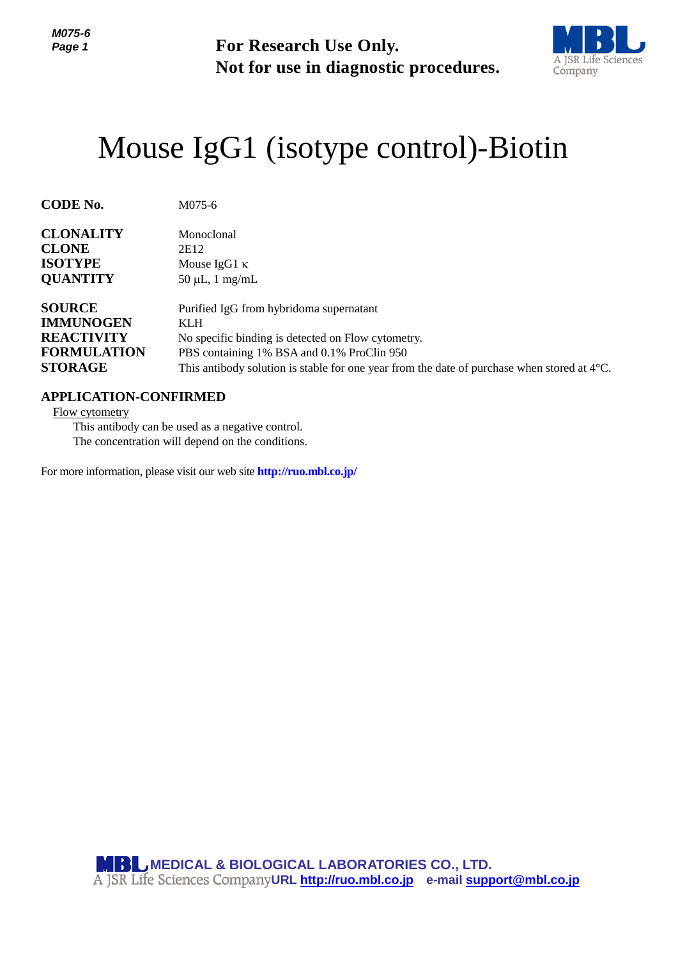**For Research Use Only. Not for use in diagnostic procedures.**



## Mouse IgG1 (isotype control)-Biotin

| <b>CODE No.</b>    | M075-6                                                                                                |
|--------------------|-------------------------------------------------------------------------------------------------------|
| <b>CLONALITY</b>   | Monoclonal                                                                                            |
| <b>CLONE</b>       | 2E12                                                                                                  |
| <b>ISOTYPE</b>     | Mouse $IgG1 \kappa$                                                                                   |
| <b>QUANTITY</b>    | $50 \mu L$ , 1 mg/mL                                                                                  |
| <b>SOURCE</b>      | Purified IgG from hybridoma supernatant                                                               |
| <b>IMMUNOGEN</b>   | <b>KLH</b>                                                                                            |
| <b>REACTIVITY</b>  | No specific binding is detected on Flow cytometry.                                                    |
| <b>FORMULATION</b> | PBS containing 1% BSA and 0.1% ProClin 950                                                            |
| <b>STORAGE</b>     | This antibody solution is stable for one year from the date of purchase when stored at $4^{\circ}$ C. |

## **APPLICATION-CONFIRMED**

Flow cytometry

This antibody can be used as a negative control. The concentration will depend on the conditions.

For more information, please visit our web site **http://ruo.mbl.co.jp/**